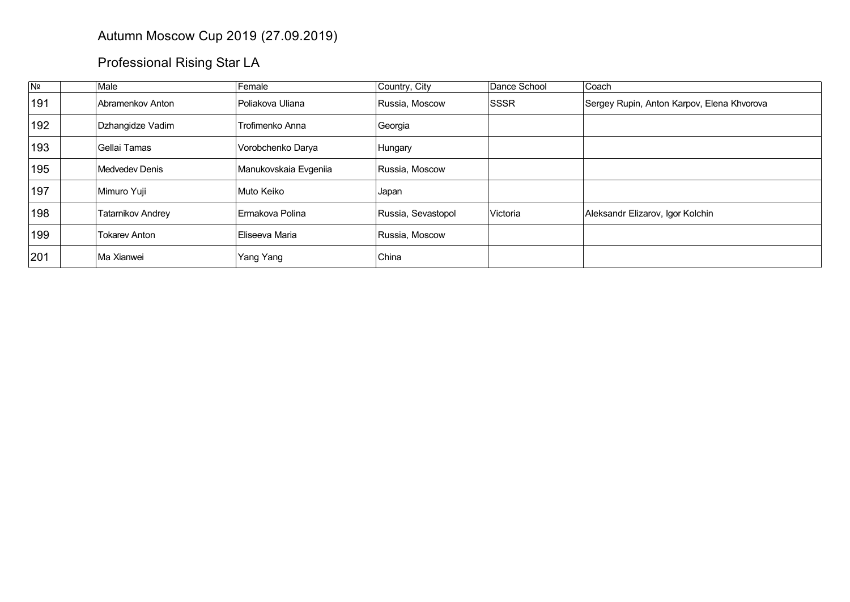## Autumn Moscow Cup 2019 (27.09.2019)

## Professional Rising Star LA

| Nº  | Male                 | Female                | Country, City      | Dance School                  | Coach                                      |
|-----|----------------------|-----------------------|--------------------|-------------------------------|--------------------------------------------|
| 191 | Abramenkov Anton     | Poliakova Uliana      | Russia, Moscow     | <b>ISSSR</b>                  | Sergey Rupin, Anton Karpov, Elena Khvorova |
| 192 | Dzhangidze Vadim     | Trofimenko Anna       | Georgia            |                               |                                            |
| 193 | Gellai Tamas         | Vorobchenko Darya     | Hungary            |                               |                                            |
| 195 | Medvedev Denis       | Manukovskaia Evgeniia | Russia, Moscow     |                               |                                            |
| 197 | Mimuro Yuji          | Muto Keiko            | Japan              |                               |                                            |
| 198 | Tatarnikov Andrey    | ∣Ermakova Polina      | Russia, Sevastopol | <i><u><b>Nictoria</b></u></i> | Aleksandr Elizarov, Igor Kolchin           |
| 199 | <b>Tokarev Anton</b> | Eliseeva Maria        | Russia, Moscow     |                               |                                            |
| 201 | Ma Xianwei           | Yang Yang             | China              |                               |                                            |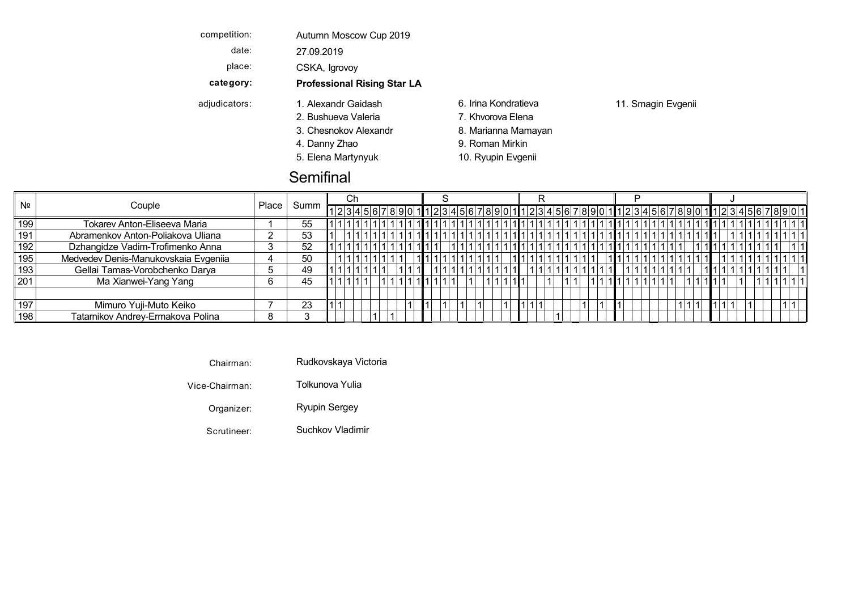| competition:  | Autumn Moscow Cup 2019             |                      |                    |
|---------------|------------------------------------|----------------------|--------------------|
| date:         | 27.09.2019                         |                      |                    |
| place:        | CSKA, Igrovoy                      |                      |                    |
| category:     | <b>Professional Rising Star LA</b> |                      |                    |
| adjudicators: | 1. Alexandr Gaidash                | 6. Irina Kondratieva | 11. Smagin Evgenii |
|               | 2. Bushueva Valeria                | 7. Khvorova Elena    |                    |
|               | 3. Chesnokov Alexandr              | 8. Marianna Mamayan  |                    |
|               | 4. Danny Zhao                      | 9. Roman Mirkin      |                    |
|               | 5. Elena Martynyuk                 | 10. Ryupin Evgenii   |                    |

## **Semifinal**

| N <sub>2</sub> |                                      |       |      |  |  |  |  |  |  |                                                                    |  |  |  |  |  |  |  |  |  |
|----------------|--------------------------------------|-------|------|--|--|--|--|--|--|--------------------------------------------------------------------|--|--|--|--|--|--|--|--|--|
|                | Couple                               | Place | Summ |  |  |  |  |  |  | 123456789011234567890112345678901123456789011123456789001112345601 |  |  |  |  |  |  |  |  |  |
| 199            | Tokarev Anton-Eliseeva Maria         |       | 55   |  |  |  |  |  |  |                                                                    |  |  |  |  |  |  |  |  |  |
| 191            | Abramenkov Anton-Poliakova Uliana    |       | 53   |  |  |  |  |  |  |                                                                    |  |  |  |  |  |  |  |  |  |
| 192            | Dzhangidze Vadim-Trofimenko Anna     |       | 52   |  |  |  |  |  |  |                                                                    |  |  |  |  |  |  |  |  |  |
| 195            | Medvedev Denis-Manukovskaia Evgeniia |       | 50   |  |  |  |  |  |  |                                                                    |  |  |  |  |  |  |  |  |  |
| 193            | Gellai Tamas-Vorobchenko Darya       |       | 49   |  |  |  |  |  |  |                                                                    |  |  |  |  |  |  |  |  |  |
| 201            | Ma Xianwei-Yang Yang                 |       | 45   |  |  |  |  |  |  |                                                                    |  |  |  |  |  |  |  |  |  |
|                |                                      |       |      |  |  |  |  |  |  |                                                                    |  |  |  |  |  |  |  |  |  |
| 197            | Mimuro Yuji-Muto Keiko               |       | 23   |  |  |  |  |  |  |                                                                    |  |  |  |  |  |  |  |  |  |
| 198            | Tatarnikov Andrey-Ermakova Polina    |       |      |  |  |  |  |  |  |                                                                    |  |  |  |  |  |  |  |  |  |

|--|

Vice-Chairman: Tolkunova Yulia Chesnokov Marianna Viennese V Mamayan Alexandr Waltz

Organizer: Ryupin Sergey Elena Ryupin Quickstep Q Martynyuk Evgenii

Scrutineer: Suchkov Vladimir